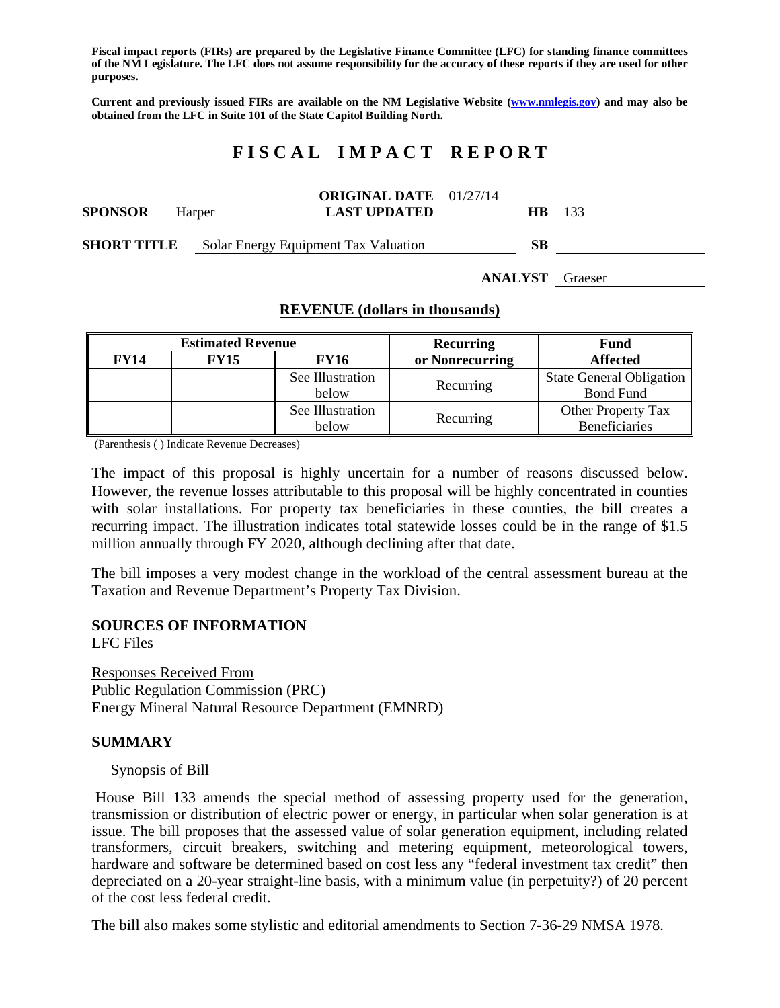**Fiscal impact reports (FIRs) are prepared by the Legislative Finance Committee (LFC) for standing finance committees of the NM Legislature. The LFC does not assume responsibility for the accuracy of these reports if they are used for other purposes.** 

**Current and previously issued FIRs are available on the NM Legislative Website (www.nmlegis.gov) and may also be obtained from the LFC in Suite 101 of the State Capitol Building North.** 

# **F I S C A L I M P A C T R E P O R T**

| <b>SPONSOR</b>     | Harper | <b>ORIGINAL DATE</b> 01/27/14<br><b>LAST UPDATED</b> | HB. | 133 |
|--------------------|--------|------------------------------------------------------|-----|-----|
| <b>SHORT TITLE</b> |        | Solar Energy Equipment Tax Valuation                 | SВ  |     |

**ANALYST** Graeser

#### **REVENUE (dollars in thousands)**

| <b>Estimated Revenue</b> |             |                  | <b>Recurring</b> | <b>Fund</b>                     |  |
|--------------------------|-------------|------------------|------------------|---------------------------------|--|
| <b>FY14</b>              | <b>FY15</b> | <b>FY16</b>      | or Nonrecurring  | <b>Affected</b>                 |  |
|                          |             | See Illustration |                  | <b>State General Obligation</b> |  |
|                          |             | below            | Recurring        | <b>Bond Fund</b>                |  |
|                          |             | See Illustration |                  | Other Property Tax              |  |
|                          | below       | Recurring        | Beneficiaries    |                                 |  |

(Parenthesis ( ) Indicate Revenue Decreases)

The impact of this proposal is highly uncertain for a number of reasons discussed below. However, the revenue losses attributable to this proposal will be highly concentrated in counties with solar installations. For property tax beneficiaries in these counties, the bill creates a recurring impact. The illustration indicates total statewide losses could be in the range of \$1.5 million annually through FY 2020, although declining after that date.

The bill imposes a very modest change in the workload of the central assessment bureau at the Taxation and Revenue Department's Property Tax Division.

#### **SOURCES OF INFORMATION**

LFC Files

Responses Received From Public Regulation Commission (PRC) Energy Mineral Natural Resource Department (EMNRD)

### **SUMMARY**

Synopsis of Bill

 House Bill 133 amends the special method of assessing property used for the generation, transmission or distribution of electric power or energy, in particular when solar generation is at issue. The bill proposes that the assessed value of solar generation equipment, including related transformers, circuit breakers, switching and metering equipment, meteorological towers, hardware and software be determined based on cost less any "federal investment tax credit" then depreciated on a 20-year straight-line basis, with a minimum value (in perpetuity?) of 20 percent of the cost less federal credit.

The bill also makes some stylistic and editorial amendments to Section 7-36-29 NMSA 1978.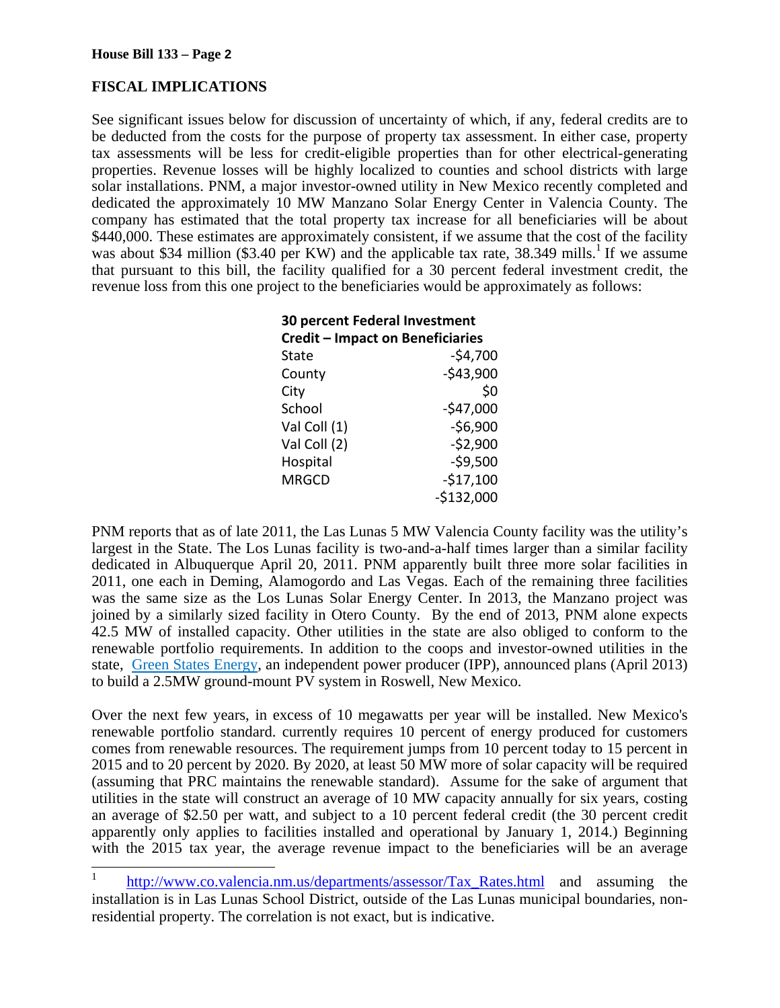l

## **FISCAL IMPLICATIONS**

See significant issues below for discussion of uncertainty of which, if any, federal credits are to be deducted from the costs for the purpose of property tax assessment. In either case, property tax assessments will be less for credit-eligible properties than for other electrical-generating properties. Revenue losses will be highly localized to counties and school districts with large solar installations. PNM, a major investor-owned utility in New Mexico recently completed and dedicated the approximately 10 MW Manzano Solar Energy Center in Valencia County. The company has estimated that the total property tax increase for all beneficiaries will be about \$440,000. These estimates are approximately consistent, if we assume that the cost of the facility was about \$34 million (\$3.40 per KW) and the applicable tax rate,  $38.349$  mills.<sup>1</sup> If we assume that pursuant to this bill, the facility qualified for a 30 percent federal investment credit, the revenue loss from this one project to the beneficiaries would be approximately as follows:

| 30 percent Federal Investment<br><b>Credit - Impact on Beneficiaries</b> |             |  |  |  |
|--------------------------------------------------------------------------|-------------|--|--|--|
| State                                                                    | $-54,700$   |  |  |  |
| County                                                                   | $-543,900$  |  |  |  |
| City                                                                     | \$0         |  |  |  |
| School                                                                   | $-$47,000$  |  |  |  |
| Val Coll (1)                                                             | $-56,900$   |  |  |  |
| Val Coll (2)                                                             | $-52,900$   |  |  |  |
| Hospital                                                                 | $-59,500$   |  |  |  |
| <b>MRGCD</b>                                                             | $-$17,100$  |  |  |  |
|                                                                          | $-$132,000$ |  |  |  |

PNM reports that as of late 2011, the Las Lunas 5 MW Valencia County facility was the utility's largest in the State. The Los Lunas facility is two-and-a-half times larger than a similar facility dedicated in Albuquerque April 20, 2011. PNM apparently built three more solar facilities in 2011, one each in Deming, Alamogordo and Las Vegas. Each of the remaining three facilities was the same size as the Los Lunas Solar Energy Center. In 2013, the Manzano project was joined by a similarly sized facility in Otero County. By the end of 2013, PNM alone expects 42.5 MW of installed capacity. Other utilities in the state are also obliged to conform to the renewable portfolio requirements. In addition to the coops and investor-owned utilities in the state, Green States Energy, an independent power producer (IPP), announced plans (April 2013) to build a 2.5MW ground-mount PV system in Roswell, New Mexico.

Over the next few years, in excess of 10 megawatts per year will be installed. New Mexico's renewable portfolio standard. currently requires 10 percent of energy produced for customers comes from renewable resources. The requirement jumps from 10 percent today to 15 percent in 2015 and to 20 percent by 2020. By 2020, at least 50 MW more of solar capacity will be required (assuming that PRC maintains the renewable standard). Assume for the sake of argument that utilities in the state will construct an average of 10 MW capacity annually for six years, costing an average of \$2.50 per watt, and subject to a 10 percent federal credit (the 30 percent credit apparently only applies to facilities installed and operational by January 1, 2014.) Beginning with the 2015 tax year, the average revenue impact to the beneficiaries will be an average

<sup>1</sup> http://www.co.valencia.nm.us/departments/assessor/Tax\_Rates.html and assuming the installation is in Las Lunas School District, outside of the Las Lunas municipal boundaries, nonresidential property. The correlation is not exact, but is indicative.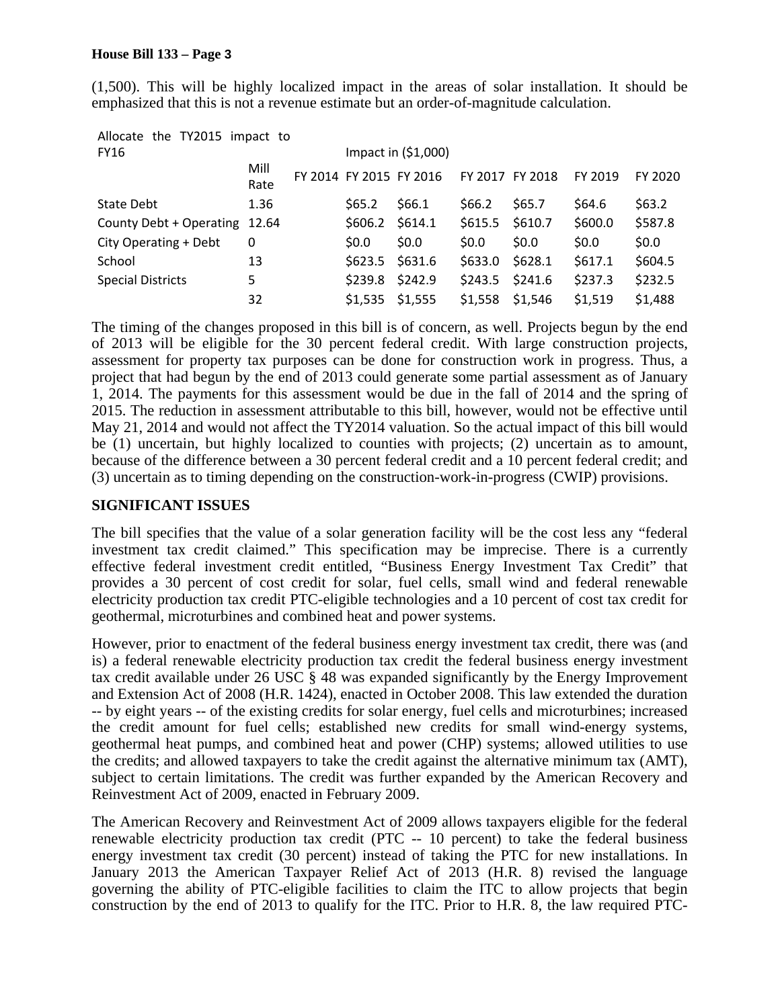(1,500). This will be highly localized impact in the areas of solar installation. It should be emphasized that this is not a revenue estimate but an order-of-magnitude calculation.

| Allocate the TY2015 impact to |                      |           |                         |         |                 |         |         |
|-------------------------------|----------------------|-----------|-------------------------|---------|-----------------|---------|---------|
| <b>FY16</b>                   | Impact in $(51,000)$ |           |                         |         |                 |         |         |
|                               | Mill<br>Rate         |           | FY 2014 FY 2015 FY 2016 |         | FY 2017 FY 2018 | FY 2019 | FY 2020 |
| State Debt                    | 1.36                 | S65.2     | \$66.1                  | S66.2   | S65.7           | \$64.6  | \$63.2  |
| County Debt + Operating 12.64 |                      | \$606.2\$ | \$614.1                 | \$615.5 | \$610.7         | \$600.0 | \$587.8 |
| City Operating + Debt         | 0                    | 50.0      | \$0.0\$                 | \$0.0\$ | \$0.0\$         | \$0.0\$ | \$0.0\$ |
| School                        | 13                   | \$623.5   | \$631.6                 | \$633.0 | \$628.1         | \$617.1 | \$604.5 |
| <b>Special Districts</b>      | 5                    | \$239.8   | \$242.9                 | \$243.5 | \$241.6         | \$237.3 | \$232.5 |
|                               | 32                   | \$1,535   | \$1,555                 | \$1,558 | \$1,546         | \$1,519 | \$1,488 |

The timing of the changes proposed in this bill is of concern, as well. Projects begun by the end of 2013 will be eligible for the 30 percent federal credit. With large construction projects, assessment for property tax purposes can be done for construction work in progress. Thus, a project that had begun by the end of 2013 could generate some partial assessment as of January 1, 2014. The payments for this assessment would be due in the fall of 2014 and the spring of 2015. The reduction in assessment attributable to this bill, however, would not be effective until May 21, 2014 and would not affect the TY2014 valuation. So the actual impact of this bill would be (1) uncertain, but highly localized to counties with projects; (2) uncertain as to amount, because of the difference between a 30 percent federal credit and a 10 percent federal credit; and (3) uncertain as to timing depending on the construction-work-in-progress (CWIP) provisions.

### **SIGNIFICANT ISSUES**

The bill specifies that the value of a solar generation facility will be the cost less any "federal investment tax credit claimed." This specification may be imprecise. There is a currently effective federal investment credit entitled, "Business Energy Investment Tax Credit" that provides a 30 percent of cost credit for solar, fuel cells, small wind and federal renewable electricity production tax credit PTC-eligible technologies and a 10 percent of cost tax credit for geothermal, microturbines and combined heat and power systems.

However, prior to enactment of the federal business energy investment tax credit, there was (and is) a federal renewable electricity production tax credit the federal business energy investment tax credit available under 26 USC § 48 was expanded significantly by the Energy Improvement and Extension Act of 2008 (H.R. 1424), enacted in October 2008. This law extended the duration -- by eight years -- of the existing credits for solar energy, fuel cells and microturbines; increased the credit amount for fuel cells; established new credits for small wind-energy systems, geothermal heat pumps, and combined heat and power (CHP) systems; allowed utilities to use the credits; and allowed taxpayers to take the credit against the alternative minimum tax (AMT), subject to certain limitations. The credit was further expanded by the American Recovery and Reinvestment Act of 2009, enacted in February 2009.

The American Recovery and Reinvestment Act of 2009 allows taxpayers eligible for the federal renewable electricity production tax credit (PTC -- 10 percent) to take the federal business energy investment tax credit (30 percent) instead of taking the PTC for new installations. In January 2013 the American Taxpayer Relief Act of 2013 (H.R. 8) revised the language governing the ability of PTC-eligible facilities to claim the ITC to allow projects that begin construction by the end of 2013 to qualify for the ITC. Prior to H.R. 8, the law required PTC-